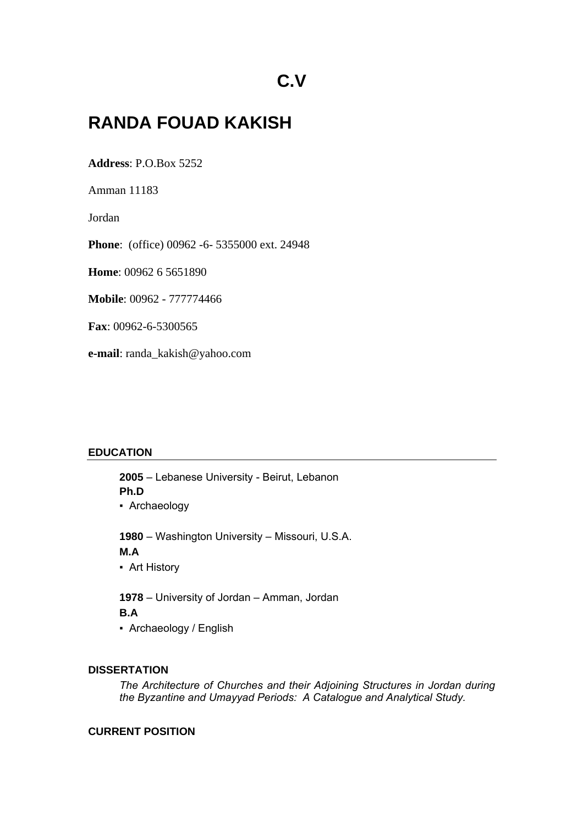# **RANDA FOUAD KAKISH**

**Address**: P.O.Box 5252

Amman 11183

Jordan

**Phone**: (office) 00962 -6- 5355000 ext. 24948

**Home**: 00962 6 5651890

**Mobile**: 00962 - 777774466

**Fax**: 00962-6-5300565

**e-mail**: randa\_kakish@yahoo.com

## **EDUCATION**

**2005** – Lebanese University - Beirut, Lebanon **Ph.D**

▪ Archaeology

**1980** – Washington University – Missouri, U.S.A.

# **M.A**

**• Art History** 

**1978** – University of Jordan – Amman, Jordan **B.A**

▪ Archaeology / English

## **DISSERTATION**

*The Architecture of Churches and their Adjoining Structures in Jordan during the Byzantine and Umayyad Periods: A Catalogue and Analytical Study.*

## **CURRENT POSITION**